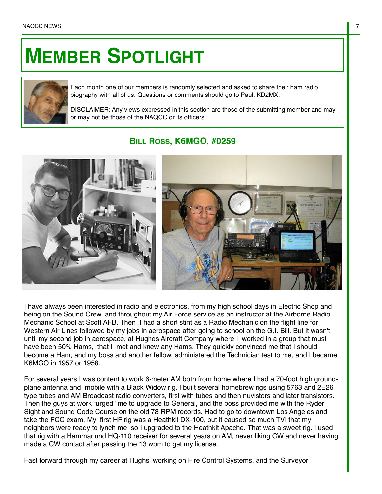## **MEMBER SPOTLIGHT**



Each month one of our members is randomly selected and asked to share their ham radio biography with all of us. Questions or comments should go to Paul, KD2MX.

DISCLAIMER: Any views expressed in this section are those of the submitting member and may or may not be those of the NAQCC or its officers.

## **BILL ROSS, K6MGO, #0259**



I have always been interested in radio and electronics, from my high school days in Electric Shop and being on the Sound Crew, and throughout my Air Force service as an instructor at the Airborne Radio Mechanic School at Scott AFB. Then I had a short stint as a Radio Mechanic on the flight line for Western Air Lines followed by my jobs in aerospace after going to school on the G.I. Bill. But it wasn't until my second job in aerospace, at Hughes Aircraft Company where I worked in a group that must have been 50% Hams, that I met and knew any Hams. They quickly convinced me that I should become a Ham, and my boss and another fellow, administered the Technician test to me, and I became K6MGO in 1957 or 1958.

For several years I was content to work 6-meter AM both from home where I had a 70-foot high groundplane antenna and mobile with a Black Widow rig. I built several homebrew rigs using 5763 and 2E26 type tubes and AM Broadcast radio converters, first with tubes and then nuvistors and later transistors. Then the guys at work "urged" me to upgrade to General, and the boss provided me with the Ryder Sight and Sound Code Course on the old 78 RPM records. Had to go to downtown Los Angeles and take the FCC exam. My first HF rig was a Heathkit DX-100, but it caused so much TVI that my neighbors were ready to lynch me so I upgraded to the Heathkit Apache. That was a sweet rig. I used that rig with a Hammarlund HQ-110 receiver for several years on AM, never liking CW and never having made a CW contact after passing the 13 wpm to get my license.

Fast forward through my career at Hughs, working on Fire Control Systems, and the Surveyor